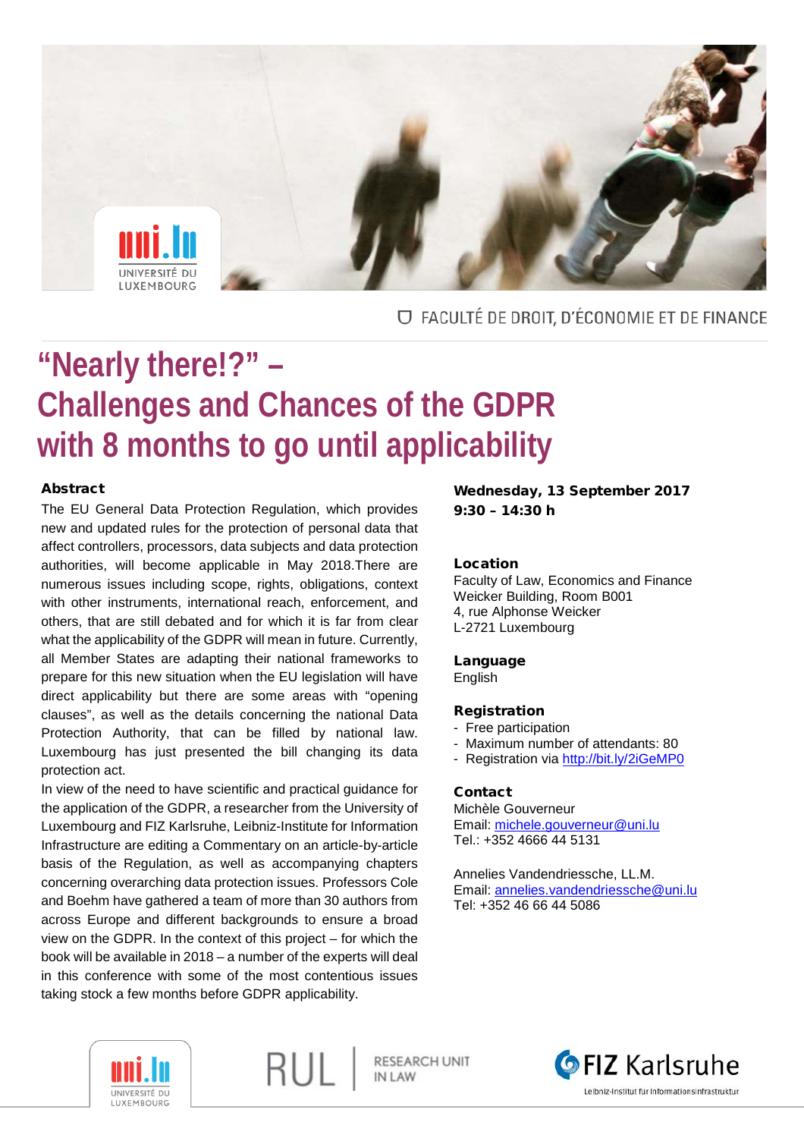

## O FACULTÉ DE DROIT, D'ÉCONOMIE ET DE FINANCE

# **"Nearly there!?" – Challenges and Chances of the GDPR with 8 months to go until applicability**

#### Abstract

The EU General Data Protection Regulation, which provides new and updated rules for the protection of personal data that affect controllers, processors, data subjects and data protection authorities, will become applicable in May 2018.There are numerous issues including scope, rights, obligations, context with other instruments, international reach, enforcement, and others, that are still debated and for which it is far from clear what the applicability of the GDPR will mean in future. Currently, all Member States are adapting their national frameworks to prepare for this new situation when the EU legislation will have direct applicability but there are some areas with "opening clauses", as well as the details concerning the national Data Protection Authority, that can be filled by national law. Luxembourg has just presented the bill changing its data protection act.

In view of the need to have scientific and practical guidance for the application of the GDPR, a researcher from the University of Luxembourg and FIZ Karlsruhe, Leibniz-Institute for Information Infrastructure are editing a Commentary on an article-by-article basis of the Regulation, as well as accompanying chapters concerning overarching data protection issues. Professors Cole and Boehm have gathered a team of more than 30 authors from across Europe and different backgrounds to ensure a broad view on the GDPR. In the context of this project – for which the book will be available in 2018 – a number of the experts will deal in this conference with some of the most contentious issues taking stock a few months before GDPR applicability.

RUL

Wednesday, 13 September 2017  $9:30 - 14:30 h$ 

#### Location

Faculty of Law, Economics and Finance Weicker Building, Room B001 4, rue Alphonse Weicker L-2721 Luxembourg

#### Language

English

#### Registration

- Free participation
- Maximum number of attendants: 80
- Registration via<http://bit.ly/2iGeMP0>

#### Contact

Michèle Gouverneur Email: [michele.gouverneur@uni.lu](mailto:michele.gouverneur@uni.lu) Tel.: +352 4666 44 5131

Annelies Vandendriessche, LL.M. Email: [annelies.vandendriessche@uni.lu](mailto:annelies.vandendriessche@uni.lu) Tel: +352 46 66 44 5086



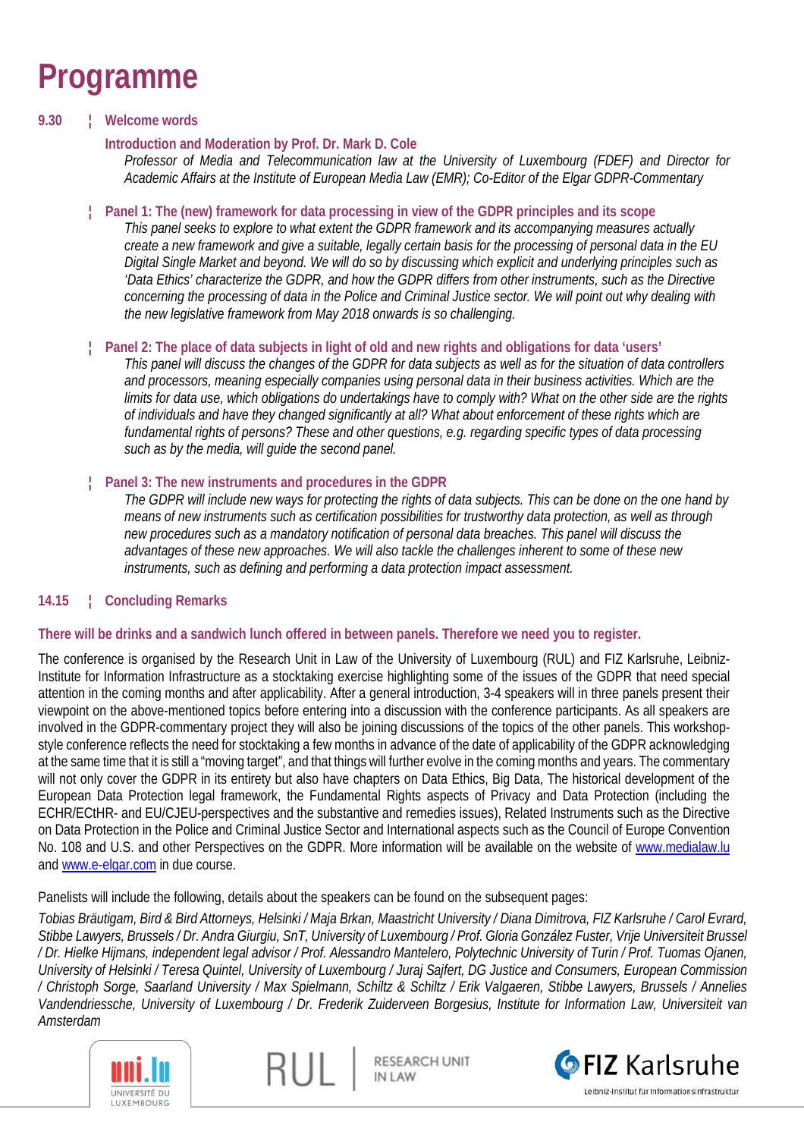# **Programme**

### **9.30 ¦ Welcome words**

### **Introduction and Moderation by Prof. Dr. Mark D. Cole**

*Professor of Media and Telecommunication law at the University of Luxembourg (FDEF) and Director for Academic Affairs at the Institute of European Media Law (EMR); Co-Editor of the Elgar GDPR-Commentary*

#### **¦ Panel 1: The (new) framework for data processing in view of the GDPR principles and its scope**

*This panel seeks to explore to what extent the GDPR framework and its accompanying measures actually create a new framework and give a suitable, legally certain basis for the processing of personal data in the EU Digital Single Market and beyond. We will do so by discussing which explicit and underlying principles such as 'Data Ethics' characterize the GDPR, and how the GDPR differs from other instruments, such as the Directive*  concerning the processing of data in the Police and Criminal Justice sector. We will point out why dealing with *the new legislative framework from May 2018 onwards is so challenging.*

### **¦ Panel 2: The place of data subjects in light of old and new rights and obligations for data 'users'**

*This panel will discuss the changes of the GDPR for data subjects as well as for the situation of data controllers and processors, meaning especially companies using personal data in their business activities. Which are the limits for data use, which obligations do undertakings have to comply with? What on the other side are the rights of individuals and have they changed significantly at all? What about enforcement of these rights which are fundamental rights of persons? These and other questions, e.g. regarding specific types of data processing such as by the media, will guide the second panel.*

### **¦ Panel 3: The new instruments and procedures in the GDPR**

*The GDPR will include new ways for protecting the rights of data subjects. This can be done on the one hand by means of new instruments such as certification possibilities for trustworthy data protection, as well as through new procedures such as a mandatory notification of personal data breaches. This panel will discuss the advantages of these new approaches. We will also tackle the challenges inherent to some of these new instruments, such as defining and performing a data protection impact assessment.*

## **14.15 ¦ Concluding Remarks**

#### **There will be drinks and a sandwich lunch offered in between panels. Therefore we need you to register.**

The conference is organised by the Research Unit in Law of the University of Luxembourg (RUL) and FIZ Karlsruhe, Leibniz-Institute for Information Infrastructure as a stocktaking exercise highlighting some of the issues of the GDPR that need special attention in the coming months and after applicability. After a general introduction, 3-4 speakers will in three panels present their viewpoint on the above-mentioned topics before entering into a discussion with the conference participants. As all speakers are involved in the GDPR-commentary project they will also be joining discussions of the topics of the other panels. This workshopstyle conference reflects the need for stocktaking a few months in advance of the date of applicability of the GDPR acknowledging at the same time that it is still a "moving target", and that things will further evolve in the coming months and years. The commentary will not only cover the GDPR in its entirety but also have chapters on Data Ethics, Big Data, The historical development of the European Data Protection legal framework, the Fundamental Rights aspects of Privacy and Data Protection (including the ECHR/ECtHR- and EU/CJEU-perspectives and the substantive and remedies issues), Related Instruments such as the Directive on Data Protection in the Police and Criminal Justice Sector and International aspects such as the Council of Europe Convention No. 108 and U.S. and other Perspectives on the GDPR. More information will be available on the website of [www.medialaw.lu](http://www.medialaw.lu/) and [www.e-elgar.com](http://www.e-elgar.com/) in due course.

Panelists will include the following, details about the speakers can be found on the subsequent pages:

*Tobias Bräutigam, Bird & Bird Attorneys, Helsinki / Maja Brkan, Maastricht University / Diana Dimitrova, FIZ Karlsruhe / Carol Evrard, Stibbe Lawyers, Brussels / Dr. Andra Giurgiu, SnT, University of Luxembourg / Prof. Gloria González Fuster, Vrije Universiteit Brussel / Dr. Hielke Hijmans, independent legal advisor / Prof. Alessandro Mantelero, Polytechnic University of Turin / Prof. Tuomas Ojanen, University of Helsinki / Teresa Quintel, University of Luxembourg / Juraj Sajfert, DG Justice and Consumers, European Commission / Christoph Sorge, Saarland University / Max Spielmann, Schiltz & Schiltz / Erik Valgaeren, Stibbe Lawyers, Brussels / Annelies Vandendriessche, University of Luxembourg / Dr. Frederik Zuiderveen Borgesius, Institute for Information Law, Universiteit van Amsterdam*





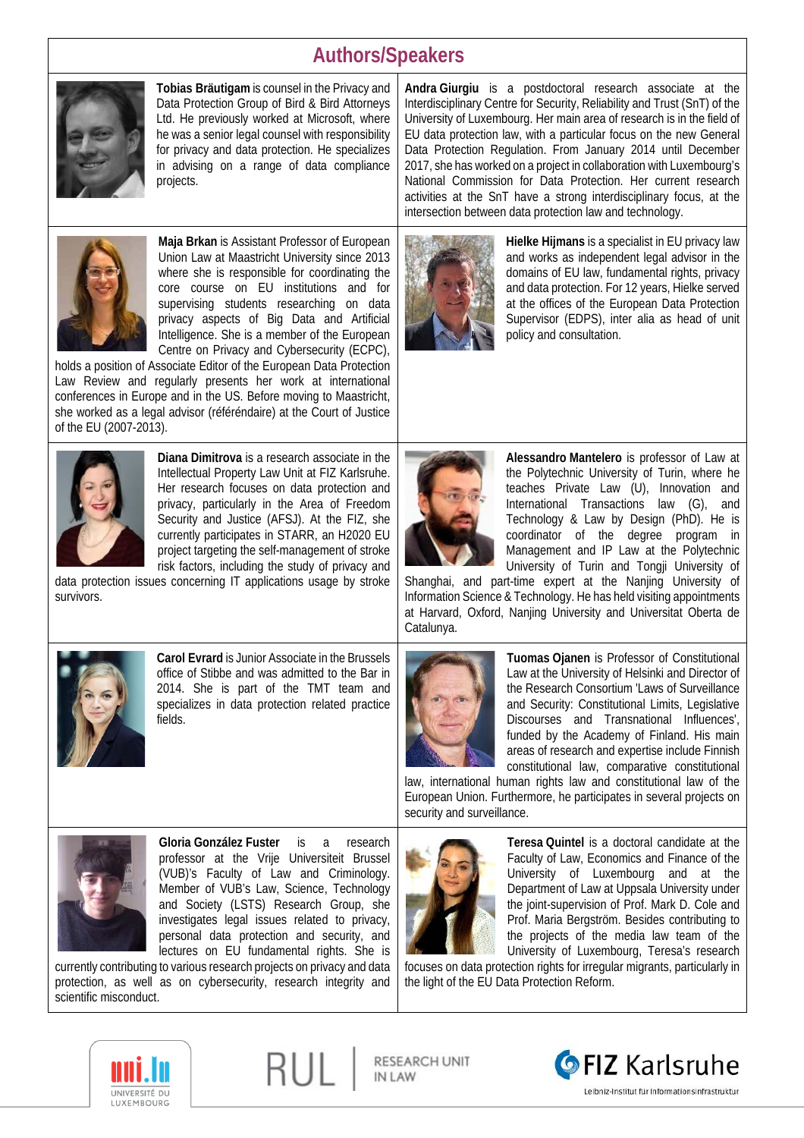# **Authors/Speakers**



**Tobias Bräutigam** is counsel in the Privacy and Data Protection Group of Bird & Bird Attorneys Ltd. He previously worked at Microsoft, where he was a senior legal counsel with responsibility for privacy and data protection. He specializes in advising on a range of data compliance projects.



**Maja Brkan** is Assistant Professor of European Union Law at Maastricht University since 2013 where she is responsible for coordinating the core course on EU institutions and for supervising students researching on data privacy aspects of Big Data and Artificial Intelligence. She is a member of the European Centre on Privacy and Cybersecurity (ECPC),

holds a position of Associate Editor of the European Data Protection Law Review and regularly presents her work at international conferences in Europe and in the US. Before moving to Maastricht, she worked as a legal advisor (référéndaire) at the Court of Justice of the EU (2007-2013).



**Diana Dimitrova** is a research associate in the Intellectual Property Law Unit at FIZ Karlsruhe. Her research focuses on data protection and privacy, particularly in the Area of Freedom Security and Justice (AFSJ). At the FIZ, she currently participates in STARR, an H2020 EU project targeting the self-management of stroke risk factors, including the study of privacy and

data protection issues concerning IT applications usage by stroke survivors.



**Carol Evrard** is Junior Associate in the Brussels office of Stibbe and was admitted to the Bar in 2014. She is part of the TMT team and specializes in data protection related practice fields.

**Hielke Hijmans** is a specialist in EU privacy law and works as independent legal advisor in the domains of EU law, fundamental rights, privacy and data protection. For 12 years, Hielke served at the offices of the European Data Protection Supervisor (EDPS), inter alia as head of unit policy and consultation.

**Andra Giurgiu** is a postdoctoral research associate at the Interdisciplinary Centre for Security, Reliability and Trust (SnT) of the University of Luxembourg. Her main area of research is in the field of EU data protection law, with a particular focus on the new General Data Protection Regulation. From January 2014 until December 2017, she has worked on a project in collaboration with Luxembourg's National Commission for Data Protection. Her current research activities at the SnT have a strong interdisciplinary focus, at the

intersection between data protection law and technology.



**Alessandro Mantelero** is professor of Law at the Polytechnic University of Turin, where he teaches Private Law (U), Innovation and International Transactions law (G), and Technology & Law by Design (PhD). He is coordinator of the degree program in Management and IP Law at the Polytechnic University of Turin and Tongji University of

Shanghai, and part-time expert at the Nanjing University of Information Science & Technology. He has held visiting appointments at Harvard, Oxford, Nanjing University and Universitat Oberta de Catalunya.



**Tuomas Ojanen** is Professor of Constitutional Law at the University of Helsinki and Director of the Research Consortium 'Laws of Surveillance and Security: Constitutional Limits, Legislative Discourses and Transnational Influences', funded by the Academy of Finland. His main areas of research and expertise include Finnish constitutional law, comparative constitutional

law, international human rights law and constitutional law of the European Union. Furthermore, he participates in several projects on security and surveillance.



**Gloria González Fuster** is a research professor at the Vrije Universiteit Brussel (VUB)'s Faculty of Law and Criminology. Member of VUB's Law, Science, Technology and Society (LSTS) Research Group, she investigates legal issues related to privacy, personal data protection and security, and lectures on EU fundamental rights. She is

currently contributing to various research projects on privacy and data protection, as well as on cybersecurity, research integrity and scientific misconduct.



**Teresa Quintel** is a doctoral candidate at the Faculty of Law, Economics and Finance of the University of Luxembourg and at the Department of Law at Uppsala University under the joint-supervision of Prof. Mark D. Cole and Prof. Maria Bergström. Besides contributing to the projects of the media law team of the University of Luxembourg, Teresa's research

focuses on data protection rights for irregular migrants, particularly in the light of the EU Data Protection Reform.